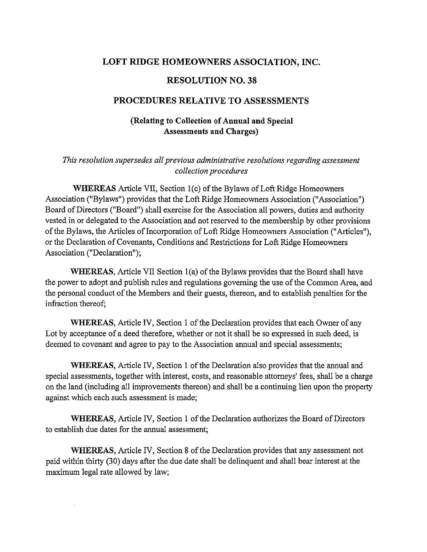## **LOFT RIDGE HOMEOWNERS ASSOCIATION, INC.**

#### **RESOLUTION NO. 38**

#### **PROCEDURES RELATIVE TO ASSESSMENTS**

## **(Relating to Collection of Annual and Special Assessments and Charges)**

## *This resolution supersedes all previous administrative resolutions regarding assessment collection procedures*

**WHEREAS** Article VII, Section I(c) of the Bylaws of Loft Ridge Homeowners Association ("Bylaws") provides that the Loft Ridge Homeowners Association ("Association") Board of Directors ("Board") shall exercise for the Association all powers, duties and authority vested in or delegated to the Association and not reserved to the membership by other provisions of the Bylaws, the Articles of Incorporation of Loft Ridge Homeowners Association ("Articles"), or the Declaration of Covenants, Conditions and Restrictions for Loft Ridge Homeowners Association ("Declaration");

**WHEREAS,** Article VII Section l(a) of the Bylaws provides that the Board shall have the power to adopt and publish rules and regulations governing the use of the Common Area, and the personal conduct of the Members and their guests, thereon, and to establish penalties for the infraction thereof;

**WHEREAS,** Article IV, Section 1 of the Declaration provides that each Owner of any Lot by acceptance of a deed therefore, whether or not it shall be so expressed in such deed, is deemed to covenant and agree to pay to the Association annual and special assessments;

**WHEREAS,** Article IV, Section 1 of the Declaration also provides that the annual and special assessments, together with interest, costs, and reasonable attorneys' fees, shall be a charge on the land (including all improvements thereon) and shall be a continuing lien upon the property against which each such assessment is made;

**WHEREAS,** Article IV, Section 1 of the Declaration authorizes the Board of Directors to establish due dates for the annual assessment;

**WHEREAS,** Article IV, Section 8 of the Declaration provides that any assessment not paid within thirty (30) days after the due date shall be delinquent and shall bear interest at the maximum legal rate allowed by law;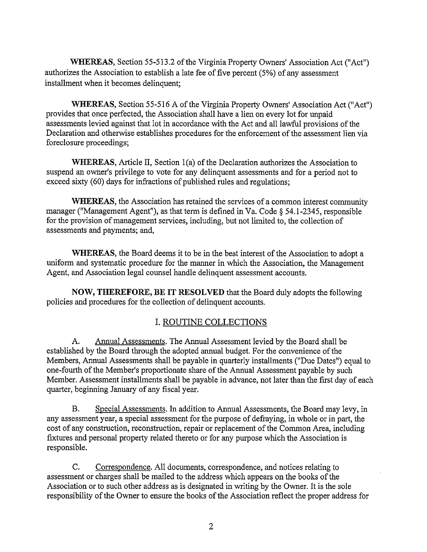**WHEREAS,** Section 55-513.2 of the Virginia Property Owners' Association Act ("Act") authorizes the Association to establish a late fee of five percent (5%) of any assessment installment when it becomes delinquent;

**WHEREAS,** Section 55-516 A of the Virginia Property Owners' Association Act ("Act") provides that once perfected, the Association shall have a lien on every lot for unpaid assessments levied against that lot in accordance with the Act and all lawful provisions of the Declaration and otherwise establishes procedures for the enforcement of the assessment lien via foreclosure proceedings;

**WHEREAS,** Article II, Section l(a) of the Declaration authorizes the Association to suspend an owner's privilege to vote for any delinquent assessments and for a period not to exceed sixty (60) days for infractions of published rules and regulations;

**WHEREAS,** the Association has retained the services of a common interest community manager ("Management Agent"), as that term is defined in Va. Code§ 54.1-2345, responsible for the provision of management services, including, but not limited to, the collection of assessments and payments; and,

**WHEREAS,** the Board deems it to be in the best interest of the Association to adopt a uniform and systematic procedure for the marmer in which the Association, the Management Agent, and Association legal counsel handle delinquent assessment accounts.

**NOW, THEREFORE, BE IT RESOLVED** that the Board duly adopts the following policies and procedures for the collection of delinquent accounts.

# I. ROUTINE COLLECTIONS

A. Annual Assessments. The Annual Assessment levied by the Board shall be established by the Board through the adopted armual budget. For the convenience of the Members, Annual Assessments shall be payable in quarterly installments ("Due Dates") equal to one-fourth of the Member's proportionate share of the Annual Assessment payable by such Member. Assessment installments shall be payable in advance, not later than the first day of each quarter, beginning January of any fiscal year.

B. Special Assessments. In addition to Annual Assessments, the Board may levy, in any assessment year, a special assessment for the purpose of defraying, in whole or in part, the cost of any construction, reconstruction, repair or replacement of the Common Area, including fixtures and personal property related thereto or for any purpose which the Association is responsible.

C. Correspondence. All documents, correspondence, and notices relating to assessment or charges shall be mailed to the address which appears on the books of the Association or to such other address as is designated in writing by the Owner. It is the sole responsibility of the Owner to ensure the books of the Association reflect the proper address for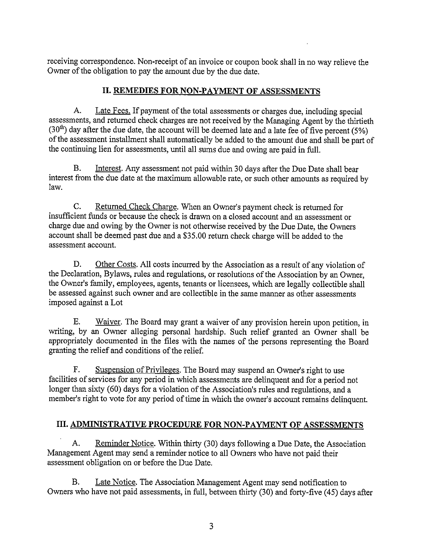receiving correspondence. Non-receipt of an invoice or coupon book shall in no way relieve the Owner of the obligation to pay the amount due by the due date.

## **II. REMEDIES FOR NON-PAYMENT OF ASSESSMENTS**

A. Late Fees. If payment of the total assessments or charges due, including special assessments, and returned check charges are not received by the Managing Agent by the thirtieth  $(30<sup>th</sup>)$  day after the due date, the account will be deemed late and a late fee of five percent (5%) of the assessment installment shall automatically be added to the amount due and shall be part of the continuing lien for assessments, until all sums due and owing are paid in full.

B. Interest. Any assessment not paid within 30 days after the Due Date shall bear interest from the due date at the maximum allowable rate, or such other amounts as required by law.

C. Returned Check Charge. When an Owner's payment check is returned for insufficient funds or because the check is drawn on a closed account and an assessment or charge due and owing by the Owner is not otherwise received by the Due Date, the Owners account shall be deemed past due and a \$35.00 return check charge will be added to the assessment account.

D. Other Costs. All costs incurred by the Association as a result of any violation of the Declaration, Bylaws, rules and regulations, or resolutions of the Association by an Owner, the Owner's family, employees, agents, tenants or licensees, which are legally collectible shall be assessed against such owner and are collectible in the same manner as other assessments imposed against a Lot

E. Waiver. The Board may grant a waiver of any provision herein upon petition, in writing, by an Owner alleging personal hardship. Such relief granted an Owner shall be appropriately documented in the files with the names of the persons representing the Board granting the relief and conditions of the relief.

F. Suspension of Privileges. The Board may suspend an Owner's right to use facilities of services for any period in which assessments are delinquent and for a period not longer than sixty (60) days for a violation of the Association's rules and regulations, and a member's right to vote for any period of time in which the owner's account remains delinquent.

# **III. ADMINISTRATIVE PROCEDURE FOR NON-PAYMENT OF ASSESSMENTS**

A. Reminder Notice. Within thirty (30) days following a Due Date, the Association Management Agent may send a reminder notice to all Owners who have not paid their assessment obligation on or before the Due Date.

B. Late Notice. The Association Management Agent may send notification to Owners who have not paid assessments, in full, between thirty (30) and forty-five (45) days after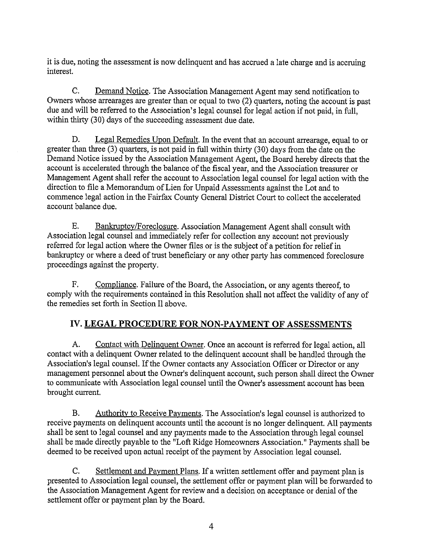it is due, noting the assessment is now delinquent and has accrued a late charge and is accruing interest.

C. Demand Notice. The Association Management Agent may send notification to Owners whose arrearages are greater than or equal to two (2) quarters, noting the account is past due and will be referred to the Association's legal counsel for legal action if not paid, in full, within thirty (30) days of the succeeding assessment due date.

D. Legal Remedies Upon Default. In the event that an account arrearage, equal to or greater than three (3) quarters, is not paid in full within thirty (30) days from the date on the Demand Notice issued by the Association Management Agent, the Board hereby directs that the account is accelerated through the balance of the fiscal year, and the Association treasurer or Management Agent shall refer the account to Association legal counsel for legal action with the direction to file a Memorandum of Lien for Unpaid Assessments against the Lot and to commence legal action in the Fairfax County General District Court to collect the accelerated account balance due.

E. Bankruptcy/Foreclosure. Association Management Agent shall consult with Association legal counsel and immediately refer for collection any account not previously referred for legal action where the Owner files or is the subject of a petition for relief in bankruptcy or where a deed of trust beneficiary or any other party has commenced foreclosure proceedings against the property.

F. Compliance. Failure of the Board, the Association, or any agents thereof, to comply with the requirements contained in this Resolution shall not affect the validity of any of the remedies set forth in Section II above.

# **IV. LEGAL PROCEDURE FOR NON-PAYMENT OF ASSESSMENTS**

A. Contact with Delinquent Owner. Once an account is referred for legal action, all contact with a delinquent Owner related to the delinquent account shall be handled through the Association's legal counsel. If the Owner contacts any Association Officer or Director or any management personnel about the Owner's delinquent account, such person shall direct the Owner to communicate with Association legal counsel until the Owner's assessment account has been brought current.

B. Authority to Receive Payments. The Association's legal counsel is authorized to receive payments on delinquent accounts until the account is no longer delinquent. All payments shall be sent to legal counsel and any payments made to the Association through legal counsel shall be made directly payable to the "Loft Ridge Homeowners Association." Payments shall be deemed to be received upon actual receipt of the payment by Association legal counsel.

C. Settlement and Payment Plans. If a written settlement offer and payment plan is presented to Association legal counsel, the settlement offer or payment plan will be forwarded to the Association Management Agent for review and a decision on acceptance or denial of the settlement offer or payment plan by the Board.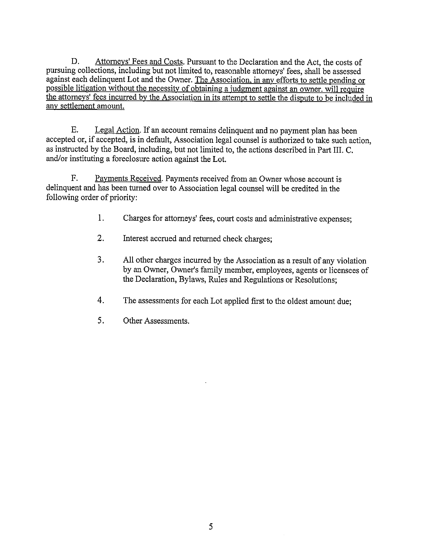D. Attorneys' Fees and Costs. Pursuant to the Declaration and the Act, the costs of pursuing collections, including but not limited to, reasonable attorneys' fees, shall be assessed against each delinquent Lot and the Owner. The Association, in any efforts to settle pending or possible litigation without the necessity of obtaining a judgment against an owner. will require the attorneys' fees incurred by the Association in its attempt to settle the dispute to be included in any settlement amount.

E. Legal Action. If an account remains delinquent and no payment plan has been accepted or, if accepted, is in default, Association legal counsel is authorized to take such action, as instructed by the Board, including, but not limited to, the actions described in Part III. C. and/or instituting a foreclosure action against the Lot.

F. Payments Received. Payments received from an Owner whose account is delinquent and has been turned over to Association legal counsel will be credited in the following order of priority:

- 1. Charges for attorneys' fees, court costs and administrative expenses;
- 2. Interest accrued and returned check charges;
- 3. All other charges incurred by the Association as a result of any violation by an Owner, Owner's family member, employees, agents or licensees of the Declaration, Bylaws, Rules and Regulations or Resolutions;
- 4. The assessments for each Lot applied first to the oldest amount due;
- 5. Other Assessments.